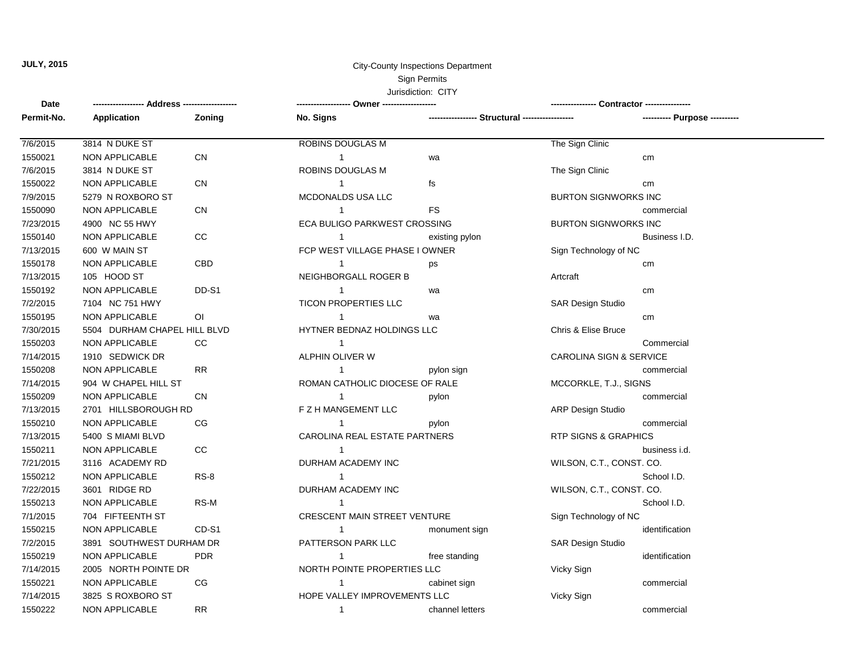## Sign Permits Jurisdiction: CITY **JULY, 2015** City-County Inspections Department

**Date Zoning** 1 1 1 1 1 1 1 1 1 1 1 1 1 1 1 1 1 1 7/14/2015 3825 S ROXBORO ST **HOPE VALLEY IMPROVEMENTS LLC** Vicky Sign 1550222 NON APPLICABLE RR channel letters commercial 7/14/2015 2005 NORTH POINTE DR NORTH POINTE PROPERTIES LLC Vicky Sign 1550221 NON APPLICABLE CG CG 1 1 Cabinet sign commercial 7/2/2015 3891 SOUTHWEST DURHAM DR PATTERSON PARK LLC SAR Design Studio 1550219 NON APPLICABLE PDR **in the standing** identification in the standing identification 7/1/2015 704 FIFTEENTH ST CRESCENT MAIN STREET VENTURE Sign Technology of NC 1550215 NON APPLICABLE CD-S1 CD-S1 1 monument sign identification 7/22/2015 3601 RIDGE RD DURHAM ACADEMY INC WILSON, C.T., CONST. CO. 1550213 NON APPLICABLE RS-M School I.D. And the state of the state of the state of the state of the state of the state of the state of the state of the state of the state of the state of the state of the state of the state 7/21/2015 3116 ACADEMY RD DURHAM ACADEMY INC WILSON, C.T., CONST. CO. 1550212 NON APPLICABLE RS-8 School I.D. 7/13/2015 5400 S MIAMI BLVD CAROLINA REAL ESTATE PARTNERS RTP SIGNS & GRAPHICS 1550211 NON APPLICABLE CC business i.d. 7/13/2015 2701 HILLSBOROUGH RD F Z H MANGEMENT LLC ARP Design Studio 1550210 NON APPLICABLE CG pylon commercial 7/14/2015 904 W CHAPEL HILL ST **ROMAN CATHOLIC DIOCESE OF RALE** MCCORKLE, T.J., SIGNS 1550209 NON APPLICABLE CN pylon commercial 7/14/2015 1910 SEDWICK DR ALPHIN OLIVER W CAROLINA SIGN & SERVICE 1550208 NON APPLICABLE RR **RR** and the state of the pylon sign commercial pyron sign commercial 7/30/2015 5504 DURHAM CHAPEL HILL BLVD HYTNER BEDNAZ HOLDINGS LLC Chris & Elise Bruce 1550203 NON APPLICABLE CC Commercial 7/2/2015 7104 NC 751 HWY TICON PROPERTIES LLC SAR Design Studio 1550195 NON APPLICABLE OI wa cm 7/13/2015 105 HOOD ST NEIGHBORGALL ROGER B Artcraft 1550192 NON APPLICABLE DD-S1 wa cm 7/13/2015 600 W MAIN ST **FILLAGE PHASE I OWNER** Sign Technology of NC 1550178 NON APPLICABLE CBD ps cm 7/23/2015 4900 NC 55 HWY ECA BULIGO PARKWEST CROSSING BURTON SIGNWORKS INC 1550140 NON APPLICABLE CC existing pylon Business I.D. 7/9/2015 5279 N ROXBORO ST MCDONALDS USA LLC BURTON SIGNWORKS INC 1550090 NON APPLICABLE CN FS commercial 7/6/2015 3814 N DUKE ST ROBINS DOUGLAS M The Sign Clinic 1550022 NON APPLICABLE CN 1 fs fs cm 7/6/2015 3814 N DUKE ST ROBINS DOUGLAS M The Sign Clinic 1550021 NON APPLICABLE CN wa cm **------------------ Address ------------------- ------------------- Owner ------------------- ---------------- Contractor ---------------- Permit-No. Application No. Signs ----------------- Structural ------------------ ---------- Purpose ----------**